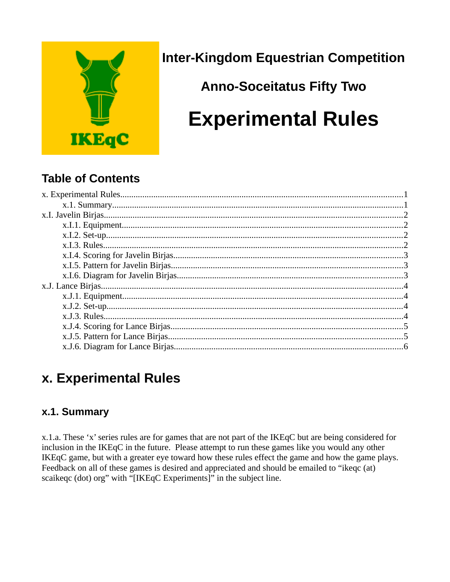

**Inter-Kingdom Equestrian Competition** 

# **Anno-Soceitatus Fifty Two Experimental Rules**

## **Table of Contents**

# <span id="page-0-1"></span>x. Experimental Rules

## <span id="page-0-0"></span>x.1. Summary

x.1.a. These 'x' series rules are for games that are not part of the IKEqC but are being considered for inclusion in the IKEqC in the future. Please attempt to run these games like you would any other IKEqC game, but with a greater eye toward how these rules effect the game and how the game plays. Feedback on all of these games is desired and appreciated and should be emailed to "ikeqc (at) scaikeqc (dot) org" with "[IKEqC Experiments]" in the subject line.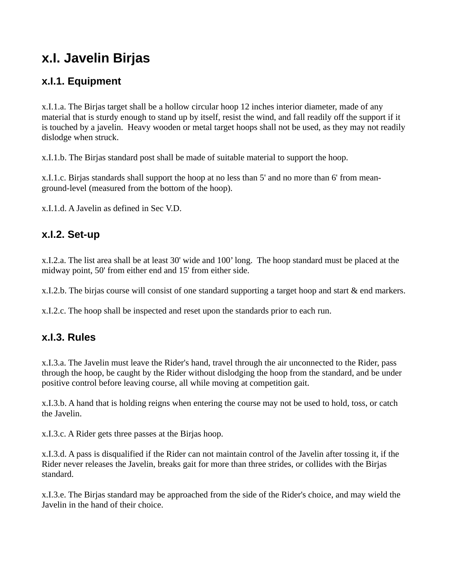# <span id="page-1-3"></span>**x.I. Javelin Birjas**

#### <span id="page-1-2"></span>**x.I.1. Equipment**

x.I.1.a. The Birjas target shall be a hollow circular hoop 12 inches interior diameter, made of any material that is sturdy enough to stand up by itself, resist the wind, and fall readily off the support if it is touched by a javelin. Heavy wooden or metal target hoops shall not be used, as they may not readily dislodge when struck.

x.I.1.b. The Birjas standard post shall be made of suitable material to support the hoop.

x.I.1.c. Birjas standards shall support the hoop at no less than 5' and no more than 6' from meanground-level (measured from the bottom of the hoop).

x.I.1.d. A Javelin as defined in Sec V.D.

#### <span id="page-1-1"></span>**x.I.2. Set-up**

x.I.2.a. The list area shall be at least 30' wide and 100' long. The hoop standard must be placed at the midway point, 50' from either end and 15' from either side.

x.I.2.b. The birjas course will consist of one standard supporting a target hoop and start & end markers.

x.I.2.c. The hoop shall be inspected and reset upon the standards prior to each run.

#### <span id="page-1-0"></span>**x.I.3. Rules**

x.I.3.a. The Javelin must leave the Rider's hand, travel through the air unconnected to the Rider, pass through the hoop, be caught by the Rider without dislodging the hoop from the standard, and be under positive control before leaving course, all while moving at competition gait.

x.I.3.b. A hand that is holding reigns when entering the course may not be used to hold, toss, or catch the Javelin.

x.I.3.c. A Rider gets three passes at the Birjas hoop.

x.I.3.d. A pass is disqualified if the Rider can not maintain control of the Javelin after tossing it, if the Rider never releases the Javelin, breaks gait for more than three strides, or collides with the Birjas standard.

x.I.3.e. The Birjas standard may be approached from the side of the Rider's choice, and may wield the Javelin in the hand of their choice.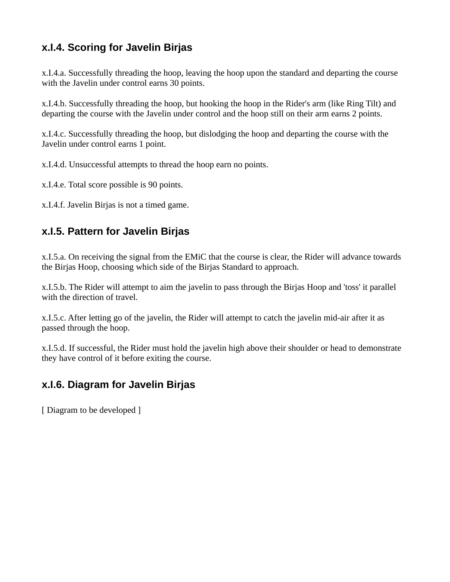## <span id="page-2-2"></span>**x.I.4. Scoring for Javelin Birjas**

x.I.4.a. Successfully threading the hoop, leaving the hoop upon the standard and departing the course with the Javelin under control earns 30 points.

x.I.4.b. Successfully threading the hoop, but hooking the hoop in the Rider's arm (like Ring Tilt) and departing the course with the Javelin under control and the hoop still on their arm earns 2 points.

x.I.4.c. Successfully threading the hoop, but dislodging the hoop and departing the course with the Javelin under control earns 1 point.

x.I.4.d. Unsuccessful attempts to thread the hoop earn no points.

x.I.4.e. Total score possible is 90 points.

x.I.4.f. Javelin Birjas is not a timed game.

#### <span id="page-2-1"></span>**x.I.5. Pattern for Javelin Birjas**

x.I.5.a. On receiving the signal from the EMiC that the course is clear, the Rider will advance towards the Birjas Hoop, choosing which side of the Birjas Standard to approach.

x.I.5.b. The Rider will attempt to aim the javelin to pass through the Birjas Hoop and 'toss' it parallel with the direction of travel.

x.I.5.c. After letting go of the javelin, the Rider will attempt to catch the javelin mid-air after it as passed through the hoop.

x.I.5.d. If successful, the Rider must hold the javelin high above their shoulder or head to demonstrate they have control of it before exiting the course.

#### <span id="page-2-0"></span>**x.I.6. Diagram for Javelin Birjas**

[ Diagram to be developed ]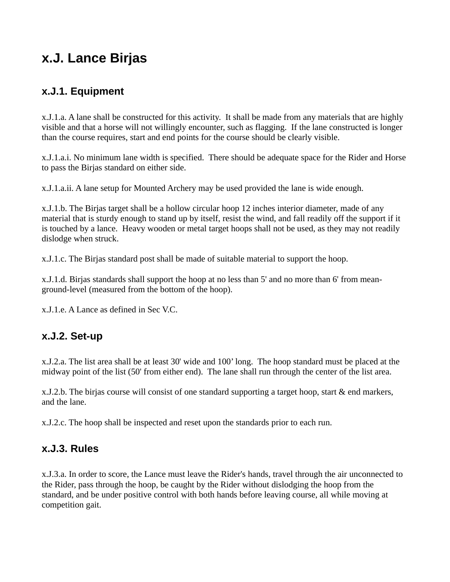## <span id="page-3-3"></span>**x.J. Lance Birjas**

#### <span id="page-3-2"></span>**x.J.1. Equipment**

x.J.1.a. A lane shall be constructed for this activity. It shall be made from any materials that are highly visible and that a horse will not willingly encounter, such as flagging. If the lane constructed is longer than the course requires, start and end points for the course should be clearly visible.

x.J.1.a.i. No minimum lane width is specified. There should be adequate space for the Rider and Horse to pass the Birjas standard on either side.

x.J.1.a.ii. A lane setup for Mounted Archery may be used provided the lane is wide enough.

x.J.1.b. The Birjas target shall be a hollow circular hoop 12 inches interior diameter, made of any material that is sturdy enough to stand up by itself, resist the wind, and fall readily off the support if it is touched by a lance. Heavy wooden or metal target hoops shall not be used, as they may not readily dislodge when struck.

x.J.1.c. The Birjas standard post shall be made of suitable material to support the hoop.

x.J.1.d. Birjas standards shall support the hoop at no less than 5' and no more than 6' from meanground-level (measured from the bottom of the hoop).

x.J.1.e. A Lance as defined in Sec V.C.

#### <span id="page-3-1"></span>**x.J.2. Set-up**

x.J.2.a. The list area shall be at least 30' wide and 100' long. The hoop standard must be placed at the midway point of the list (50' from either end). The lane shall run through the center of the list area.

x.J.2.b. The birjas course will consist of one standard supporting a target hoop, start & end markers, and the lane.

x.J.2.c. The hoop shall be inspected and reset upon the standards prior to each run.

#### <span id="page-3-0"></span>**x.J.3. Rules**

x.J.3.a. In order to score, the Lance must leave the Rider's hands, travel through the air unconnected to the Rider, pass through the hoop, be caught by the Rider without dislodging the hoop from the standard, and be under positive control with both hands before leaving course, all while moving at competition gait.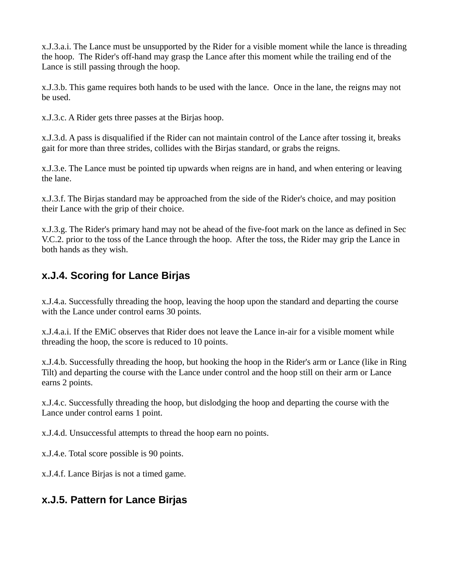x.J.3.a.i. The Lance must be unsupported by the Rider for a visible moment while the lance is threading the hoop. The Rider's off-hand may grasp the Lance after this moment while the trailing end of the Lance is still passing through the hoop.

x.J.3.b. This game requires both hands to be used with the lance. Once in the lane, the reigns may not be used.

x.J.3.c. A Rider gets three passes at the Birjas hoop.

x.J.3.d. A pass is disqualified if the Rider can not maintain control of the Lance after tossing it, breaks gait for more than three strides, collides with the Birjas standard, or grabs the reigns.

x.J.3.e. The Lance must be pointed tip upwards when reigns are in hand, and when entering or leaving the lane.

x.J.3.f. The Birjas standard may be approached from the side of the Rider's choice, and may position their Lance with the grip of their choice.

x.J.3.g. The Rider's primary hand may not be ahead of the five-foot mark on the lance as defined in Sec V.C.2. prior to the toss of the Lance through the hoop. After the toss, the Rider may grip the Lance in both hands as they wish.

### <span id="page-4-1"></span>**x.J.4. Scoring for Lance Birjas**

x.J.4.a. Successfully threading the hoop, leaving the hoop upon the standard and departing the course with the Lance under control earns 30 points.

x.J.4.a.i. If the EMiC observes that Rider does not leave the Lance in-air for a visible moment while threading the hoop, the score is reduced to 10 points.

x.J.4.b. Successfully threading the hoop, but hooking the hoop in the Rider's arm or Lance (like in Ring Tilt) and departing the course with the Lance under control and the hoop still on their arm or Lance earns 2 points.

x.J.4.c. Successfully threading the hoop, but dislodging the hoop and departing the course with the Lance under control earns 1 point.

x.J.4.d. Unsuccessful attempts to thread the hoop earn no points.

x.J.4.e. Total score possible is 90 points.

x.J.4.f. Lance Birjas is not a timed game.

#### <span id="page-4-0"></span>**x.J.5. Pattern for Lance Birjas**